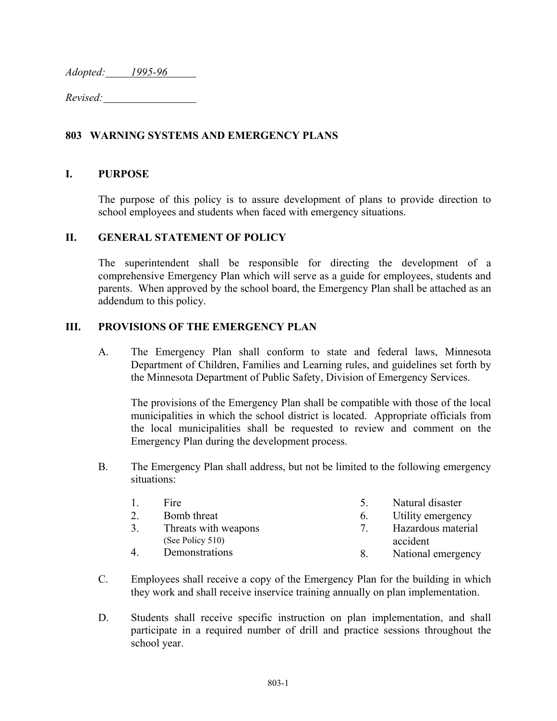*Adopted: 1995-96* 

*Revised:* 

# **803 WARNING SYSTEMS AND EMERGENCY PLANS**

## **I. PURPOSE**

The purpose of this policy is to assure development of plans to provide direction to school employees and students when faced with emergency situations.

#### **II. GENERAL STATEMENT OF POLICY**

The superintendent shall be responsible for directing the development of a comprehensive Emergency Plan which will serve as a guide for employees, students and parents. When approved by the school board, the Emergency Plan shall be attached as an addendum to this policy.

## **III. PROVISIONS OF THE EMERGENCY PLAN**

 A. The Emergency Plan shall conform to state and federal laws, Minnesota Department of Children, Families and Learning rules, and guidelines set forth by the Minnesota Department of Public Safety, Division of Emergency Services.

The provisions of the Emergency Plan shall be compatible with those of the local municipalities in which the school district is located. Appropriate officials from the local municipalities shall be requested to review and comment on the Emergency Plan during the development process.

 B. The Emergency Plan shall address, but not be limited to the following emergency situations:

| $\mathbf{1}$   | Fire.                | $\gamma$ | Natural disaster   |
|----------------|----------------------|----------|--------------------|
|                | Bomb threat          | 6        | Utility emergency  |
| 3.             | Threats with weapons | 7        | Hazardous material |
|                | (See Policy 510)     |          | accident           |
| $\overline{4}$ | Demonstrations       |          | National emergency |

- C. Employees shall receive a copy of the Emergency Plan for the building in which they work and shall receive inservice training annually on plan implementation.
- D. Students shall receive specific instruction on plan implementation, and shall participate in a required number of drill and practice sessions throughout the school year.